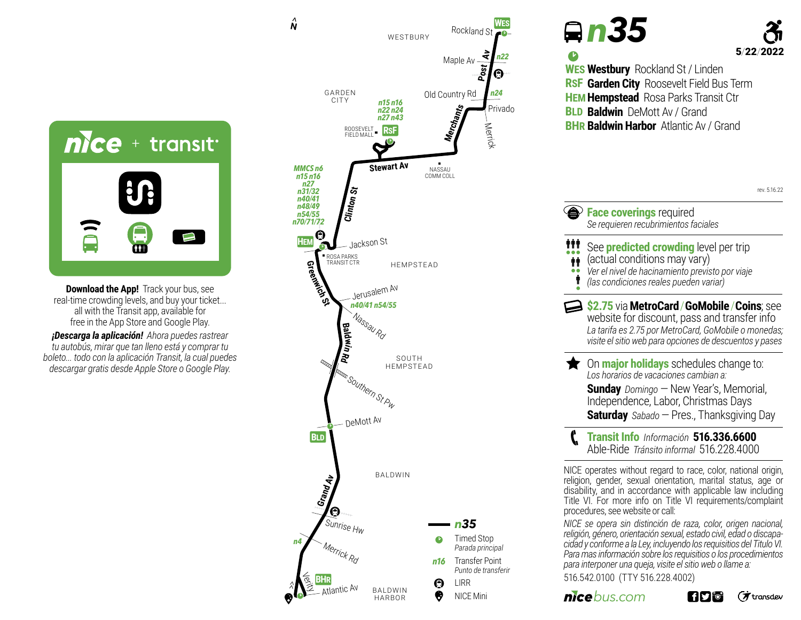

**Download the App!** Track your bus, see real-time crowding levels, and buy your ticket... all with the Transit app, available for free in the App Store and Google Play.

*¡Descarga la aplicación! Ahora puedes rastrear tu autobús, mirar que tan lleno está y comprar tu boleto... todo con la aplicación Transit, la cual puedes descargar gratis desde Apple Store o Google Play.*



|     | <b>Qn35</b><br>5/22/2<br><b>WES Westbury</b> Rockland St / Linden<br>RSF Garden City Roosevelt Field Bus Term<br>HEM Hempstead Rosa Parks Transit Ctr<br><b>BLD Baldwin</b> DeMott Av / Grand<br><b>BHR Baldwin Harbor</b> Atlantic Av / Grand                                                                                                                                                                                         |
|-----|----------------------------------------------------------------------------------------------------------------------------------------------------------------------------------------------------------------------------------------------------------------------------------------------------------------------------------------------------------------------------------------------------------------------------------------|
|     | rev. 5.16.22                                                                                                                                                                                                                                                                                                                                                                                                                           |
|     | <b>Example 2</b> Face coverings required<br>Se requieren recubrimientos faciales                                                                                                                                                                                                                                                                                                                                                       |
| ÑŤŤ | See <b>predicted crowding</b> level per trip<br>(actual conditions may vary)<br>Ver el nivel de hacinamiento previsto por viaje<br>(las condiciones reales pueden variar)                                                                                                                                                                                                                                                              |
|     | \$2.75 via MetroCard / GoMobile / Coins; see<br>website for discount, pass and transfer info<br>La tarifa es 2.75 por MetroCard, GoMobile o monedas;<br>visite el sitio web para opciones de descuentos y pases                                                                                                                                                                                                                        |
|     | <b>The Online of holidays</b> schedules change to:<br>Los horarios de vacaciones cambian a:<br><b>Sunday</b> Domingo - New Year's, Memorial,<br>Independence, Labor, Christmas Days<br><b>Saturday</b> Sabado - Pres., Thanksgiving Day                                                                                                                                                                                                |
| C.  | Transit Info Información 516.336.6600<br>Able-Ride Tránsito informal 516.228.4000                                                                                                                                                                                                                                                                                                                                                      |
|     | NICE operates without regard to race, color, national origin,<br>religion, gender, sexual orientation, marital status, age or<br>disability, and in accordance with applicable law including<br>Title VI. For more info on Title VI requirements/complaint<br>procedures, see website or call:<br>NICE se opera sin distinción de raza, color, origen nacional,<br>religión, género, orientación sexual, estado civil, edad o discapa- |

*cidad y conforme a la Ley, incluyendo los requisitios del Titulo VI. Para mas información sobre los requisitios o los procedimientos para interponer una queja, visite el sitio web o llame a:* 516.542.0100 (TTY 516.228.4002)

*nicebus.com* 

(方transdev **606**